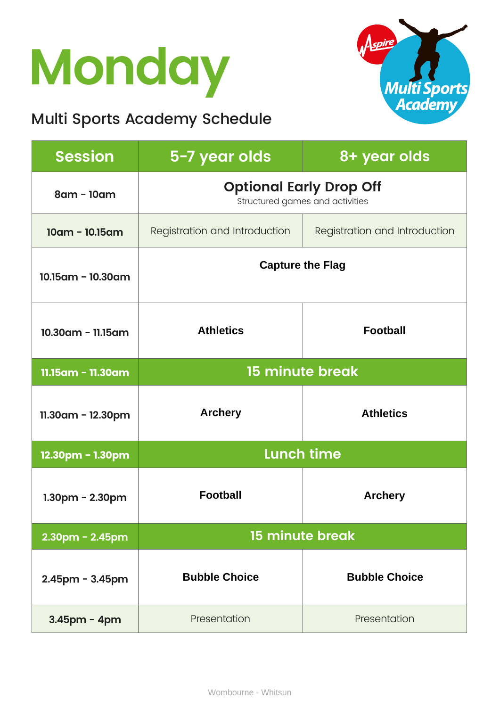## **Monday**

### Multi Sports Academy Schedule



| <b>Session</b>        | 5-7 year olds                                                     | 8+ year olds                  |
|-----------------------|-------------------------------------------------------------------|-------------------------------|
| 8am - 10am            | <b>Optional Early Drop Off</b><br>Structured games and activities |                               |
| $10am - 10.15am$      | Registration and Introduction                                     | Registration and Introduction |
| 10.15am - 10.30am     | <b>Capture the Flag</b>                                           |                               |
| 10.30am - 11.15am     | <b>Athletics</b>                                                  | <b>Football</b>               |
| 11.15am - 11.30am     | <b>15 minute break</b>                                            |                               |
| $11.30$ am - 12.30pm  | <b>Archery</b>                                                    | <b>Athletics</b>              |
| 12.30pm - 1.30pm      | <b>Lunch time</b>                                                 |                               |
| $1.30$ pm - 2.30pm    | <b>Football</b>                                                   | <b>Archery</b>                |
| $2.30$ pm - $2.45$ pm | 15 minute break                                                   |                               |
| $2.45$ pm - $3.45$ pm | <b>Bubble Choice</b>                                              | <b>Bubble Choice</b>          |
| $3.45$ pm - 4pm       | Presentation                                                      | Presentation                  |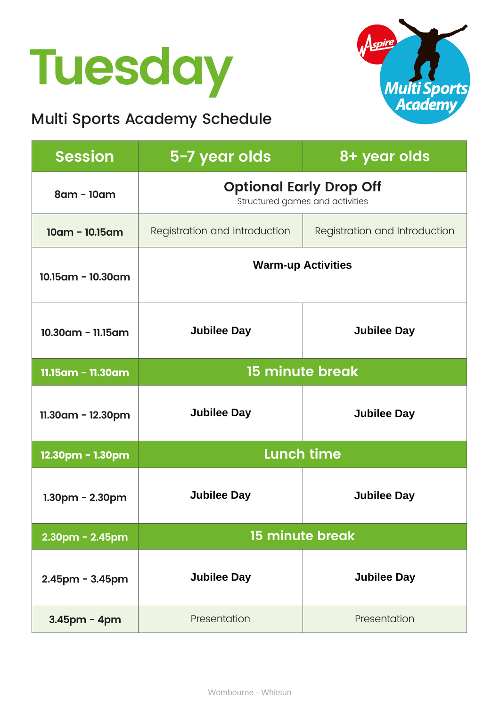## **Tuesday**

### Multi Sports Academy Schedule



| <b>Session</b>        | 5-7 year olds                                                     | 8+ year olds                  |
|-----------------------|-------------------------------------------------------------------|-------------------------------|
| 8am - 10am            | <b>Optional Early Drop Off</b><br>Structured games and activities |                               |
| $10am - 10.15am$      | Registration and Introduction                                     | Registration and Introduction |
| 10.15am - 10.30am     | <b>Warm-up Activities</b>                                         |                               |
| $10.30$ am - 11.15am  | <b>Jubilee Day</b>                                                | <b>Jubilee Day</b>            |
| 11.15am - 11.30am     | <b>15 minute break</b>                                            |                               |
| $11.30$ am - 12.30pm  | <b>Jubilee Day</b>                                                | <b>Jubilee Day</b>            |
| 12.30pm - 1.30pm      | <b>Lunch time</b>                                                 |                               |
| $1.30pm - 2.30pm$     | <b>Jubilee Day</b>                                                | <b>Jubilee Day</b>            |
| $2.30$ pm - $2.45$ pm | <b>15 minute break</b>                                            |                               |
| $2.45$ pm - $3.45$ pm | <b>Jubilee Day</b>                                                | <b>Jubilee Day</b>            |
| 3.45pm - 4pm          | Presentation                                                      | Presentation                  |